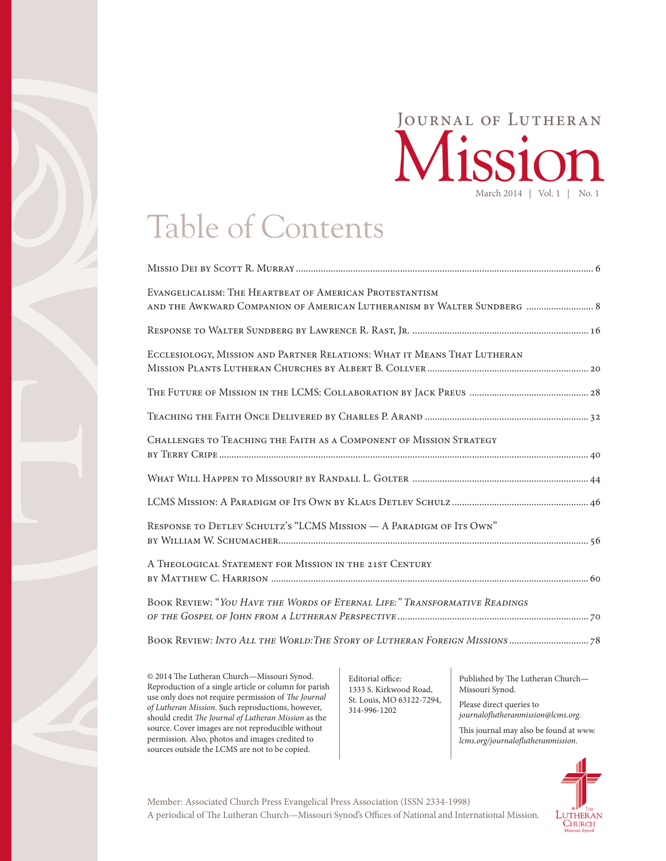### March 2014 | Vol. 1 | No. 1 Mission Journal of Lutheran

# Table of Contents

| EVANGELICALISM: THE HEARTBEAT OF AMERICAN PROTESTANTISM<br>AND THE AWKWARD COMPANION OF AMERICAN LUTHERANISM BY WALTER SUNDBERG  8 |
|------------------------------------------------------------------------------------------------------------------------------------|
|                                                                                                                                    |
| ECCLESIOLOGY, MISSION AND PARTNER RELATIONS: WHAT IT MEANS THAT LUTHERAN                                                           |
|                                                                                                                                    |
|                                                                                                                                    |
| <b>CHALLENGES TO TEACHING THE FAITH AS A COMPONENT OF MISSION STRATEGY</b>                                                         |
|                                                                                                                                    |
|                                                                                                                                    |
| RESPONSE TO DETLEV SCHULTZ'S "LCMS MISSION - A PARADIGM OF ITS OWN"                                                                |
| A THEOLOGICAL STATEMENT FOR MISSION IN THE 21ST CENTURY                                                                            |
| BOOK REVIEW: "YOU HAVE THE WORDS OF ETERNAL LIFE:" TRANSFORMATIVE READINGS                                                         |
|                                                                                                                                    |

© 2014 The Lutheran Church—Missouri Synod. Reproduction of a single article or column for parish use only does not require permission of *The Journal of Lutheran Mission*. Such reproductions, however, should credit *The Journal of Lutheran Mission* as the source. Cover images are not reproducible without permission. Also, photos and images credited to sources outside the LCMS are not to be copied.

Editorial office: 1333 S. Kirkwood Road, St. Louis, MO 63122-7294, 314-996-1202

Published by The Lutheran Church— Missouri Synod.

Please direct queries to *journaloflutheranmission@lcms.org.*

This journal may also be found at *[www.](http://www.lcms.org/journalofluthermission) [lcms.org/journaloflutheranmission](http://www.lcms.org/journalofluthermission).*



A periodical of The Lutheran Church—Missouri Synod's Offices of National and International Mission. Member: Associated Church Press Evangelical Press Association (ISSN 2334-1998)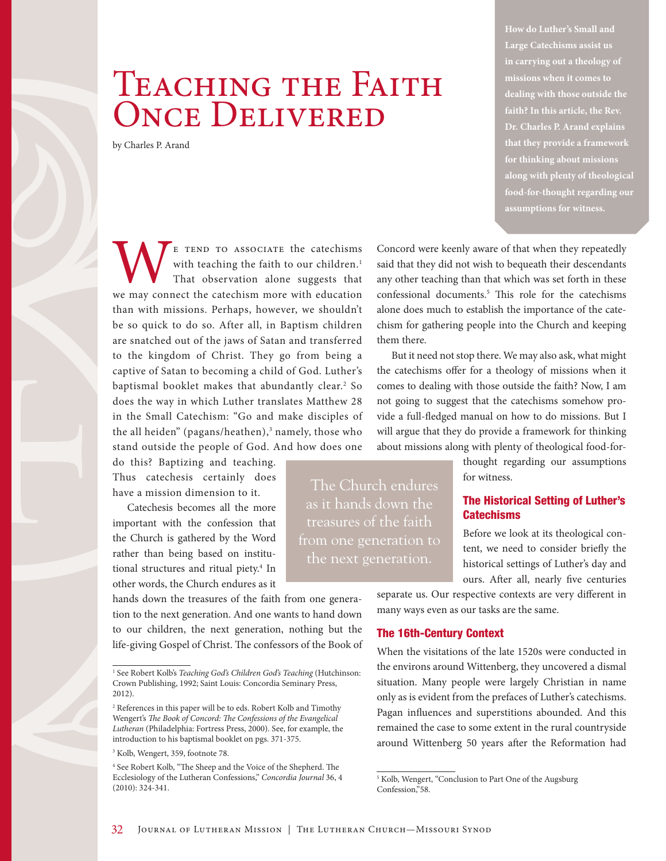## TEACHING THE FAITH ONCE DELIVERED

by Charles P. Arand

**How do Luther's Small and Large Catechisms assist us in carrying out a theology of missions when it comes to dealing with those outside the faith? In this article, the Rev. Dr. Charles P. Arand explains that they provide a framework for thinking about missions along with plenty of theological food-for-thought regarding our assumptions for witness.** 

WE TEND TO ASSOCIATE the catechisms with teaching the faith to our children.<sup>1</sup> That observation alone suggests that we may connect the catechism more with education with teaching the faith to our children.<sup>1</sup> That observation alone suggests that than with missions. Perhaps, however, we shouldn't be so quick to do so. After all, in Baptism children are snatched out of the jaws of Satan and transferred to the kingdom of Christ. They go from being a captive of Satan to becoming a child of God. Luther's baptismal booklet makes that abundantly clear.2 So does the way in which Luther translates Matthew 28 in the Small Catechism: "Go and make disciples of the all heiden" (pagans/heathen),<sup>3</sup> namely, those who stand outside the people of God. And how does one

do this? Baptizing and teaching. Thus catechesis certainly does have a mission dimension to it.

Catechesis becomes all the more important with the confession that the Church is gathered by the Word rather than being based on institutional structures and ritual piety.4 In other words, the Church endures as it

hands down the treasures of the faith from one generation to the next generation. And one wants to hand down to our children, the next generation, nothing but the life-giving Gospel of Christ. The confessors of the Book of

3 Kolb, Wengert, 359, footnote 78.

Concord were keenly aware of that when they repeatedly said that they did not wish to bequeath their descendants any other teaching than that which was set forth in these confessional documents.5 This role for the catechisms alone does much to establish the importance of the catechism for gathering people into the Church and keeping them there.

But it need not stop there. We may also ask, what might the catechisms offer for a theology of missions when it comes to dealing with those outside the faith? Now, I am not going to suggest that the catechisms somehow provide a full-fledged manual on how to do missions. But I will argue that they do provide a framework for thinking about missions along with plenty of theological food-for-

> thought regarding our assumptions for witness.

#### The Historical Setting of Luther's **Catechisms**

Before we look at its theological content, we need to consider briefly the historical settings of Luther's day and ours. After all, nearly five centuries

separate us. Our respective contexts are very different in many ways even as our tasks are the same.

#### The 16th-Century Context

The Church endures as it hands down the treasures of the faith from one generation to the next generation.

> When the visitations of the late 1520s were conducted in the environs around Wittenberg, they uncovered a dismal situation. Many people were largely Christian in name only as is evident from the prefaces of Luther's catechisms. Pagan influences and superstitions abounded. And this remained the case to some extent in the rural countryside around Wittenberg 50 years after the Reformation had

<sup>&</sup>lt;sup>1</sup> See Robert Kolb's *Teaching God's Children God's Teaching* (Hutchinson: Crown Publishing, 1992; Saint Louis: Concordia Seminary Press, 2012).

<sup>2</sup> References in this paper will be to eds. Robert Kolb and Timothy Wengert's *The Book of Concord: The Confessions of the Evangelical Lutheran* (Philadelphia: Fortress Press, 2000). See, for example, the introduction to his baptismal booklet on pgs. 371-375.

<sup>4</sup> See Robert Kolb, "The Sheep and the Voice of the Shepherd. The Ecclesiology of the Lutheran Confessions," *Concordia Journal* 36, 4 (2010): 324-341.

<sup>5</sup> Kolb, Wengert, "Conclusion to Part One of the Augsburg Confession,"58.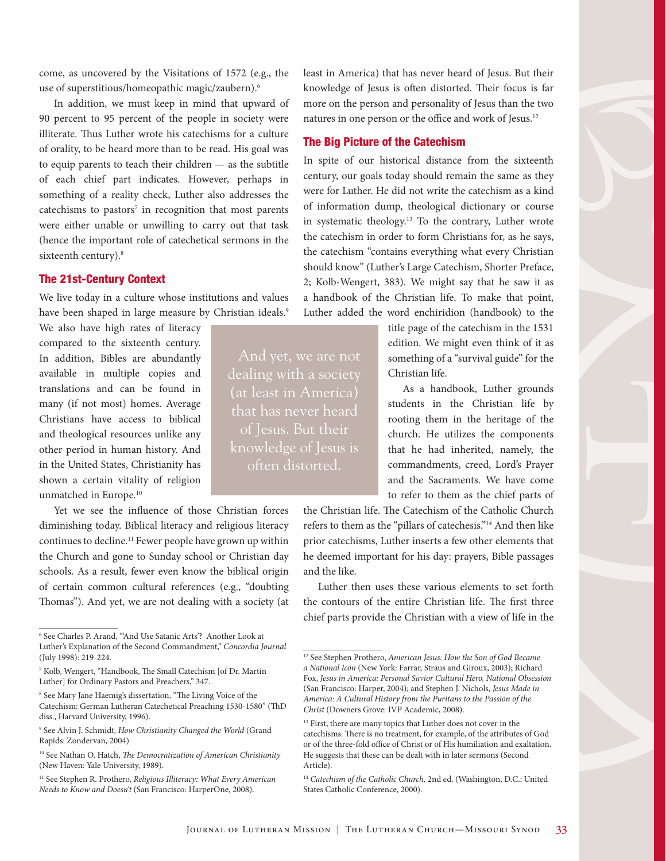come, as uncovered by the Visitations of 1572 (e.g., the use of superstitious/homeopathic magic/zaubern).6

In addition, we must keep in mind that upward of 90 percent to 95 percent of the people in society were illiterate. Thus Luther wrote his catechisms for a culture of orality, to be heard more than to be read. His goal was to equip parents to teach their children — as the subtitle of each chief part indicates. However, perhaps in something of a reality check, Luther also addresses the catechisms to pastors<sup>7</sup> in recognition that most parents were either unable or unwilling to carry out that task (hence the important role of catechetical sermons in the sixteenth century).<sup>8</sup>

#### The 21st-Century Context

We live today in a culture whose institutions and values have been shaped in large measure by Christian ideals.<sup>9</sup>

We also have high rates of literacy compared to the sixteenth century. In addition, Bibles are abundantly available in multiple copies and translations and can be found in many (if not most) homes. Average Christians have access to biblical and theological resources unlike any other period in human history. And in the United States, Christianity has shown a certain vitality of religion unmatched in Europe.10

Yet we see the influence of those Christian forces diminishing today. Biblical literacy and religious literacy continues to decline.<sup>11</sup> Fewer people have grown up within the Church and gone to Sunday school or Christian day schools. As a result, fewer even know the biblical origin of certain common cultural references (e.g., "doubting Thomas"). And yet, we are not dealing with a society (at

8 See Mary Jane Haemig's dissertation, "The Living Voice of the Catechism: German Lutheran Catechetical Preaching 1530-1580" (ThD diss., Harvard University, 1996).

9 See Alvin J. Schmidt, *How Christianity Changed the World* (Grand Rapids: Zondervan, 2004)

least in America) that has never heard of Jesus. But their knowledge of Jesus is often distorted. Their focus is far more on the person and personality of Jesus than the two natures in one person or the office and work of Jesus.12

#### The Big Picture of the Catechism

dealing with a society

that has never heard of Jesus. But their knowledge of Jesus is often distorted.

In spite of our historical distance from the sixteenth century, our goals today should remain the same as they were for Luther. He did not write the catechism as a kind of information dump, theological dictionary or course in systematic theology.13 To the contrary, Luther wrote the catechism in order to form Christians for, as he says, the catechism "contains everything what every Christian should know" (Luther's Large Catechism, Shorter Preface, 2; Kolb-Wengert, 383). We might say that he saw it as a handbook of the Christian life. To make that point, Luther added the word enchiridion (handbook) to the

> title page of the catechism in the 1531 edition. We might even think of it as something of a "survival guide" for the Christian life.

As a handbook, Luther grounds students in the Christian life by rooting them in the heritage of the church. He utilizes the components that he had inherited, namely, the commandments, creed, Lord's Prayer and the Sacraments. We have come to refer to them as the chief parts of

the Christian life. The Catechism of the Catholic Church refers to them as the "pillars of catechesis."14 And then like prior catechisms, Luther inserts a few other elements that he deemed important for his day: prayers, Bible passages and the like.

Luther then uses these various elements to set forth the contours of the entire Christian life. The first three chief parts provide the Christian with a view of life in the

<sup>6</sup> See Charles P. Arand, "'And Use Satanic Arts'? Another Look at Luther's Explanation of the Second Commandment," *Concordia Journal*  (July 1998): 219-224.

<sup>7</sup> Kolb, Wengert, "Handbook, The Small Catechism [of Dr. Martin Luther] for Ordinary Pastors and Preachers," 347.

<sup>10</sup> See Nathan O. Hatch, *The Democratization of American Christianity* (New Haven: Yale University, 1989).

<sup>11</sup> See Stephen R. Prothero, *Religious Illiteracy: What Every American Needs to Know and Doesn't* (San Francisco: HarperOne, 2008).

<sup>12</sup> See Stephen Prothero, *American Jesus: How the Son of God Became a National Icon* (New York: Farrar, Straus and Giroux, 2003); Richard Fox, *Jesus in America: Personal Savior Cultural Hero, National Obsession* (San Francisco: Harper, 2004); and Stephen J. Nichols, *Jesus Made in America: A Cultural History from the Puritans to the Passion of the Christ* (Downers Grove: IVP Academic, 2008).

<sup>&</sup>lt;sup>13</sup> First, there are many topics that Luther does not cover in the catechisms. There is no treatment, for example, of the attributes of God or of the three-fold office of Christ or of His humiliation and exaltation. He suggests that these can be dealt with in later sermons (Second Article).

<sup>&</sup>lt;sup>14</sup> Catechism of the Catholic Church, 2nd ed. (Washington, D.C.: United States Catholic Conference, 2000).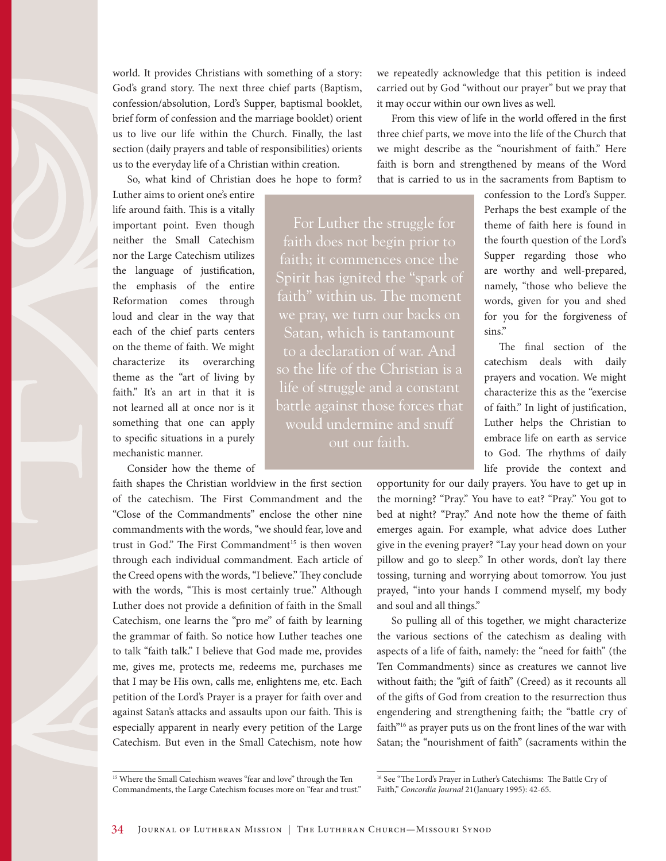world. It provides Christians with something of a story: God's grand story. The next three chief parts (Baptism, confession/absolution, Lord's Supper, baptismal booklet, brief form of confession and the marriage booklet) orient us to live our life within the Church. Finally, the last section (daily prayers and table of responsibilities) orients us to the everyday life of a Christian within creation.

So, what kind of Christian does he hope to form?

Luther aims to orient one's entire life around faith. This is a vitally important point. Even though neither the Small Catechism nor the Large Catechism utilizes the language of justification, the emphasis of the entire Reformation comes through loud and clear in the way that each of the chief parts centers on the theme of faith. We might characterize its overarching theme as the "art of living by faith." It's an art in that it is not learned all at once nor is it something that one can apply to specific situations in a purely mechanistic manner.

Consider how the theme of

faith shapes the Christian worldview in the first section of the catechism. The First Commandment and the "Close of the Commandments" enclose the other nine commandments with the words, "we should fear, love and trust in God." The First Commandment<sup>15</sup> is then woven through each individual commandment. Each article of the Creed opens with the words, "I believe." They conclude with the words, "This is most certainly true." Although Luther does not provide a definition of faith in the Small Catechism, one learns the "pro me" of faith by learning the grammar of faith. So notice how Luther teaches one to talk "faith talk." I believe that God made me, provides me, gives me, protects me, redeems me, purchases me that I may be His own, calls me, enlightens me, etc. Each petition of the Lord's Prayer is a prayer for faith over and against Satan's attacks and assaults upon our faith. This is especially apparent in nearly every petition of the Large Catechism. But even in the Small Catechism, note how we repeatedly acknowledge that this petition is indeed carried out by God "without our prayer" but we pray that it may occur within our own lives as well.

From this view of life in the world offered in the first three chief parts, we move into the life of the Church that we might describe as the "nourishment of faith." Here faith is born and strengthened by means of the Word that is carried to us in the sacraments from Baptism to

For Luther the struggle for faith does not begin prior to faith; it commences once the Spirit has ignited the "spark of faith" within us. The moment Satan, which is tantamount to a declaration of war. And so the life of the Christian is a life of struggle and a constant battle against those forces that would undermine and snuff out our faith.

confession to the Lord's Supper. Perhaps the best example of the theme of faith here is found in the fourth question of the Lord's Supper regarding those who are worthy and well-prepared, namely, "those who believe the words, given for you and shed for you for the forgiveness of sins."

The final section of the catechism deals with daily prayers and vocation. We might characterize this as the "exercise of faith." In light of justification, Luther helps the Christian to embrace life on earth as service to God. The rhythms of daily life provide the context and

opportunity for our daily prayers. You have to get up in the morning? "Pray." You have to eat? "Pray." You got to bed at night? "Pray." And note how the theme of faith emerges again. For example, what advice does Luther give in the evening prayer? "Lay your head down on your pillow and go to sleep." In other words, don't lay there tossing, turning and worrying about tomorrow. You just prayed, "into your hands I commend myself, my body and soul and all things."

So pulling all of this together, we might characterize the various sections of the catechism as dealing with aspects of a life of faith, namely: the "need for faith" (the Ten Commandments) since as creatures we cannot live without faith; the "gift of faith" (Creed) as it recounts all of the gifts of God from creation to the resurrection thus engendering and strengthening faith; the "battle cry of faith"16 as prayer puts us on the front lines of the war with Satan; the "nourishment of faith" (sacraments within the

<sup>&</sup>lt;sup>15</sup> Where the Small Catechism weaves "fear and love" through the Ten Commandments, the Large Catechism focuses more on "fear and trust."

<sup>&</sup>lt;sup>16</sup> See "The Lord's Prayer in Luther's Catechisms: The Battle Cry of Faith," *Concordia Journal* 21(January 1995): 42-65.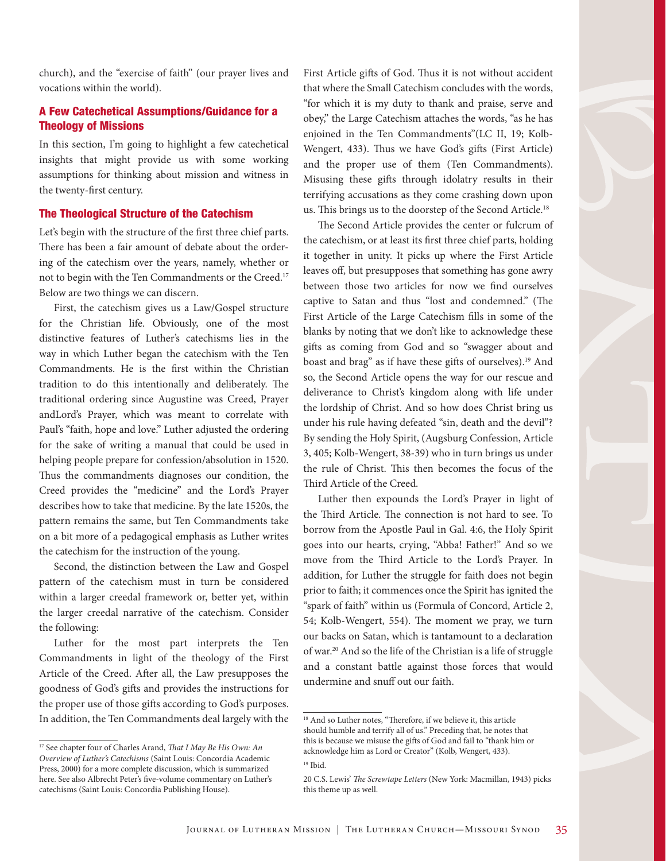church), and the "exercise of faith" (our prayer lives and vocations within the world).

#### A Few Catechetical Assumptions/Guidance for a Theology of Missions

In this section, I'm going to highlight a few catechetical insights that might provide us with some working assumptions for thinking about mission and witness in the twenty-first century.

#### The Theological Structure of the Catechism

Let's begin with the structure of the first three chief parts. There has been a fair amount of debate about the ordering of the catechism over the years, namely, whether or not to begin with the Ten Commandments or the Creed.17 Below are two things we can discern.

First, the catechism gives us a Law/Gospel structure for the Christian life. Obviously, one of the most distinctive features of Luther's catechisms lies in the way in which Luther began the catechism with the Ten Commandments. He is the first within the Christian tradition to do this intentionally and deliberately. The traditional ordering since Augustine was Creed, Prayer andLord's Prayer, which was meant to correlate with Paul's "faith, hope and love." Luther adjusted the ordering for the sake of writing a manual that could be used in helping people prepare for confession/absolution in 1520. Thus the commandments diagnoses our condition, the Creed provides the "medicine" and the Lord's Prayer describes how to take that medicine. By the late 1520s, the pattern remains the same, but Ten Commandments take on a bit more of a pedagogical emphasis as Luther writes the catechism for the instruction of the young.

Second, the distinction between the Law and Gospel pattern of the catechism must in turn be considered within a larger creedal framework or, better yet, within the larger creedal narrative of the catechism. Consider the following:

Luther for the most part interprets the Ten Commandments in light of the theology of the First Article of the Creed. After all, the Law presupposes the goodness of God's gifts and provides the instructions for the proper use of those gifts according to God's purposes. In addition, the Ten Commandments deal largely with the First Article gifts of God. Thus it is not without accident that where the Small Catechism concludes with the words, "for which it is my duty to thank and praise, serve and obey," the Large Catechism attaches the words, "as he has enjoined in the Ten Commandments"(LC II, 19; Kolb-Wengert, 433). Thus we have God's gifts (First Article) and the proper use of them (Ten Commandments). Misusing these gifts through idolatry results in their terrifying accusations as they come crashing down upon us. This brings us to the doorstep of the Second Article.18

The Second Article provides the center or fulcrum of the catechism, or at least its first three chief parts, holding it together in unity. It picks up where the First Article leaves off, but presupposes that something has gone awry between those two articles for now we find ourselves captive to Satan and thus "lost and condemned." (The First Article of the Large Catechism fills in some of the blanks by noting that we don't like to acknowledge these gifts as coming from God and so "swagger about and boast and brag" as if have these gifts of ourselves).19 And so, the Second Article opens the way for our rescue and deliverance to Christ's kingdom along with life under the lordship of Christ. And so how does Christ bring us under his rule having defeated "sin, death and the devil"? By sending the Holy Spirit, (Augsburg Confession, Article 3, 405; Kolb-Wengert, 38-39) who in turn brings us under the rule of Christ. This then becomes the focus of the Third Article of the Creed.

Luther then expounds the Lord's Prayer in light of the Third Article. The connection is not hard to see. To borrow from the Apostle Paul in Gal. 4:6, the Holy Spirit goes into our hearts, crying, "Abba! Father!" And so we move from the Third Article to the Lord's Prayer. In addition, for Luther the struggle for faith does not begin prior to faith; it commences once the Spirit has ignited the "spark of faith" within us (Formula of Concord, Article 2, 54; Kolb-Wengert, 554). The moment we pray, we turn our backs on Satan, which is tantamount to a declaration of war.20 And so the life of the Christian is a life of struggle and a constant battle against those forces that would undermine and snuff out our faith.

<sup>17</sup> See chapter four of Charles Arand, *That I May Be His Own: An Overview of Luther's Catechisms* (Saint Louis: Concordia Academic Press, 2000) for a more complete discussion, which is summarized here. See also Albrecht Peter's five-volume commentary on Luther's catechisms (Saint Louis: Concordia Publishing House).

<sup>&</sup>lt;sup>18</sup> And so Luther notes, "Therefore, if we believe it, this article should humble and terrify all of us." Preceding that, he notes that this is because we misuse the gifts of God and fail to "thank him or acknowledge him as Lord or Creator" (Kolb, Wengert, 433). <sup>19</sup> Ibid.

<sup>20</sup> C.S. Lewis' *The Screwtape Letters* (New York: Macmillan, 1943) picks this theme up as well.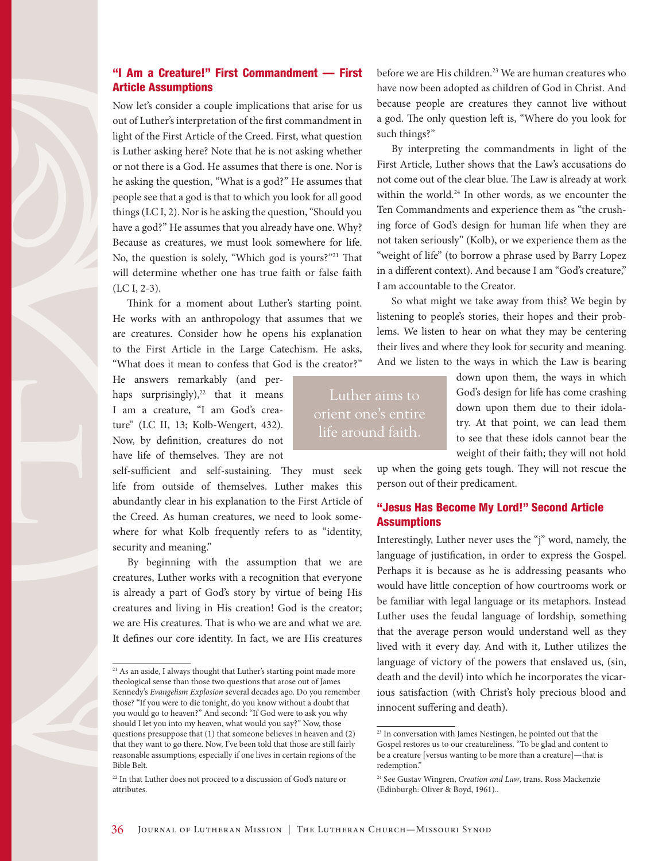#### "I Am a Creature!" First Commandment — First Article Assumptions

Now let's consider a couple implications that arise for us out of Luther's interpretation of the first commandment in light of the First Article of the Creed. First, what question is Luther asking here? Note that he is not asking whether or not there is a God. He assumes that there is one. Nor is he asking the question, "What is a god?" He assumes that people see that a god is that to which you look for all good things (LC I, 2). Nor is he asking the question, "Should you have a god?" He assumes that you already have one. Why? Because as creatures, we must look somewhere for life. No, the question is solely, "Which god is yours?"<sup>21</sup> That will determine whether one has true faith or false faith (LC I, 2-3).

Think for a moment about Luther's starting point. He works with an anthropology that assumes that we are creatures. Consider how he opens his explanation to the First Article in the Large Catechism. He asks, "What does it mean to confess that God is the creator?"

He answers remarkably (and perhaps surprisingly), $22$  that it means I am a creature, "I am God's creature" (LC II, 13; Kolb-Wengert, 432). Now, by definition, creatures do not have life of themselves. They are not

self-sufficient and self-sustaining. They must seek life from outside of themselves. Luther makes this abundantly clear in his explanation to the First Article of the Creed. As human creatures, we need to look somewhere for what Kolb frequently refers to as "identity, security and meaning."

By beginning with the assumption that we are creatures, Luther works with a recognition that everyone is already a part of God's story by virtue of being His creatures and living in His creation! God is the creator; we are His creatures. That is who we are and what we are. It defines our core identity. In fact, we are His creatures before we are His children.<sup>23</sup> We are human creatures who have now been adopted as children of God in Christ. And because people are creatures they cannot live without a god. The only question left is, "Where do you look for such things?"

By interpreting the commandments in light of the First Article, Luther shows that the Law's accusations do not come out of the clear blue. The Law is already at work within the world.<sup>24</sup> In other words, as we encounter the Ten Commandments and experience them as "the crushing force of God's design for human life when they are not taken seriously" (Kolb), or we experience them as the "weight of life" (to borrow a phrase used by Barry Lopez in a different context). And because I am "God's creature," I am accountable to the Creator.

So what might we take away from this? We begin by listening to people's stories, their hopes and their problems. We listen to hear on what they may be centering their lives and where they look for security and meaning. And we listen to the ways in which the Law is bearing

Luther aims to orient one's entire life around faith.

down upon them, the ways in which God's design for life has come crashing down upon them due to their idolatry. At that point, we can lead them to see that these idols cannot bear the weight of their faith; they will not hold

up when the going gets tough. They will not rescue the person out of their predicament.

#### "Jesus Has Become My Lord!" Second Article **Assumptions**

Interestingly, Luther never uses the "j" word, namely, the language of justification, in order to express the Gospel. Perhaps it is because as he is addressing peasants who would have little conception of how courtrooms work or be familiar with legal language or its metaphors. Instead Luther uses the feudal language of lordship, something that the average person would understand well as they lived with it every day. And with it, Luther utilizes the language of victory of the powers that enslaved us, (sin, death and the devil) into which he incorporates the vicarious satisfaction (with Christ's holy precious blood and innocent suffering and death).

<sup>&</sup>lt;sup>21</sup> As an aside, I always thought that Luther's starting point made more theological sense than those two questions that arose out of James Kennedy's *Evangelism Explosion* several decades ago. Do you remember those? "If you were to die tonight, do you know without a doubt that you would go to heaven?" And second: "If God were to ask you why should I let you into my heaven, what would you say?" Now, those questions presuppose that (1) that someone believes in heaven and (2) that they want to go there. Now, I've been told that those are still fairly reasonable assumptions, especially if one lives in certain regions of the Bible Belt.

<sup>&</sup>lt;sup>22</sup> In that Luther does not proceed to a discussion of God's nature or attributes.

<sup>23</sup> In conversation with James Nestingen, he pointed out that the Gospel restores us to our creatureliness. "To be glad and content to be a creature [versus wanting to be more than a creature]—that is redemption."

<sup>24</sup> See Gustav Wingren, *Creation and Law*, trans. Ross Mackenzie (Edinburgh: Oliver & Boyd, 1961)..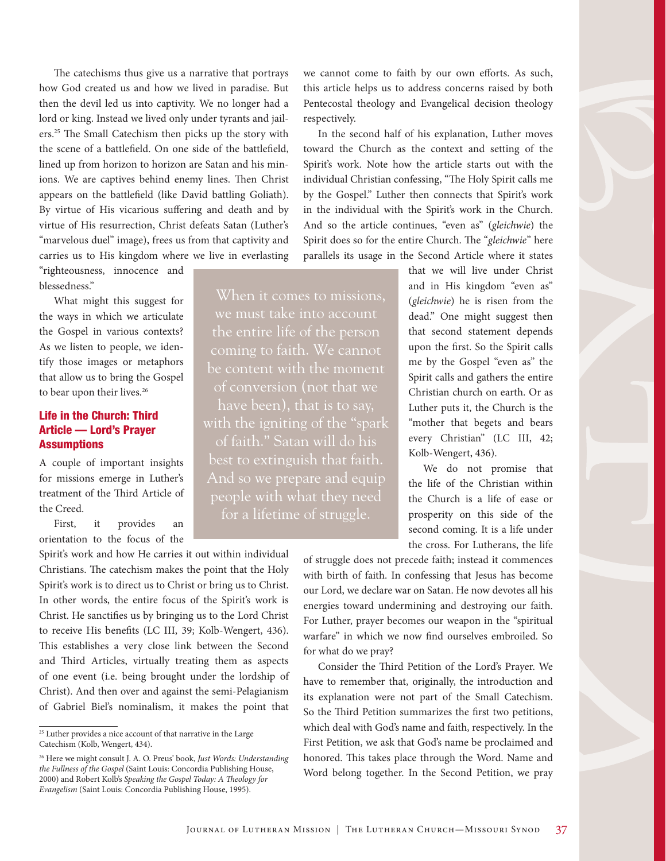The catechisms thus give us a narrative that portrays how God created us and how we lived in paradise. But then the devil led us into captivity. We no longer had a lord or king. Instead we lived only under tyrants and jailers.25 The Small Catechism then picks up the story with the scene of a battlefield. On one side of the battlefield, lined up from horizon to horizon are Satan and his minions. We are captives behind enemy lines. Then Christ appears on the battlefield (like David battling Goliath). By virtue of His vicarious suffering and death and by virtue of His resurrection, Christ defeats Satan (Luther's "marvelous duel" image), frees us from that captivity and carries us to His kingdom where we live in everlasting

"righteousness, innocence and blessedness."

What might this suggest for the ways in which we articulate the Gospel in various contexts? As we listen to people, we identify those images or metaphors that allow us to bring the Gospel to bear upon their lives.<sup>26</sup>

#### Life in the Church: Third Article — Lord's Prayer **Assumptions**

A couple of important insights for missions emerge in Luther's treatment of the Third Article of the Creed.

First, it provides an orientation to the focus of the

Spirit's work and how He carries it out within individual Christians. The catechism makes the point that the Holy Spirit's work is to direct us to Christ or bring us to Christ. In other words, the entire focus of the Spirit's work is Christ. He sanctifies us by bringing us to the Lord Christ to receive His benefits (LC III, 39; Kolb-Wengert, 436). This establishes a very close link between the Second and Third Articles, virtually treating them as aspects of one event (i.e. being brought under the lordship of Christ). And then over and against the semi-Pelagianism of Gabriel Biel's nominalism, it makes the point that

we cannot come to faith by our own efforts. As such, this article helps us to address concerns raised by both Pentecostal theology and Evangelical decision theology respectively.

In the second half of his explanation, Luther moves toward the Church as the context and setting of the Spirit's work. Note how the article starts out with the individual Christian confessing, "The Holy Spirit calls me by the Gospel." Luther then connects that Spirit's work in the individual with the Spirit's work in the Church. And so the article continues, "even as" (*gleichwie*) the Spirit does so for the entire Church. The "*gleichwie*" here parallels its usage in the Second Article where it states

When it comes to missions, the entire life of the person coming to faith. We cannot be content with the moment of conversion (not that we with the igniting of the "spark of faith." Satan will do his best to extinguish that faith. people with what they need for a lifetime of struggle.

that we will live under Christ and in His kingdom "even as" (*gleichwie*) he is risen from the dead." One might suggest then that second statement depends upon the first. So the Spirit calls me by the Gospel "even as" the Spirit calls and gathers the entire Christian church on earth. Or as Luther puts it, the Church is the "mother that begets and bears every Christian" (LC III, 42; Kolb-Wengert, 436).

We do not promise that the life of the Christian within the Church is a life of ease or prosperity on this side of the second coming. It is a life under the cross. For Lutherans, the life

of struggle does not precede faith; instead it commences with birth of faith. In confessing that Jesus has become our Lord, we declare war on Satan. He now devotes all his energies toward undermining and destroying our faith. For Luther, prayer becomes our weapon in the "spiritual warfare" in which we now find ourselves embroiled. So for what do we pray?

Consider the Third Petition of the Lord's Prayer. We have to remember that, originally, the introduction and its explanation were not part of the Small Catechism. So the Third Petition summarizes the first two petitions, which deal with God's name and faith, respectively. In the First Petition, we ask that God's name be proclaimed and honored. This takes place through the Word. Name and Word belong together. In the Second Petition, we pray

 $^{\rm 25}$  Luther provides a nice account of that narrative in the Large Catechism (Kolb, Wengert, 434).

<sup>26</sup> Here we might consult J. A. O. Preus' book, *Just Words: Understanding the Fullness of the Gospel* (Saint Louis: Concordia Publishing House, 2000) and Robert Kolb's *Speaking the Gospel Today: A Theology for Evangelism* (Saint Louis: Concordia Publishing House, 1995).